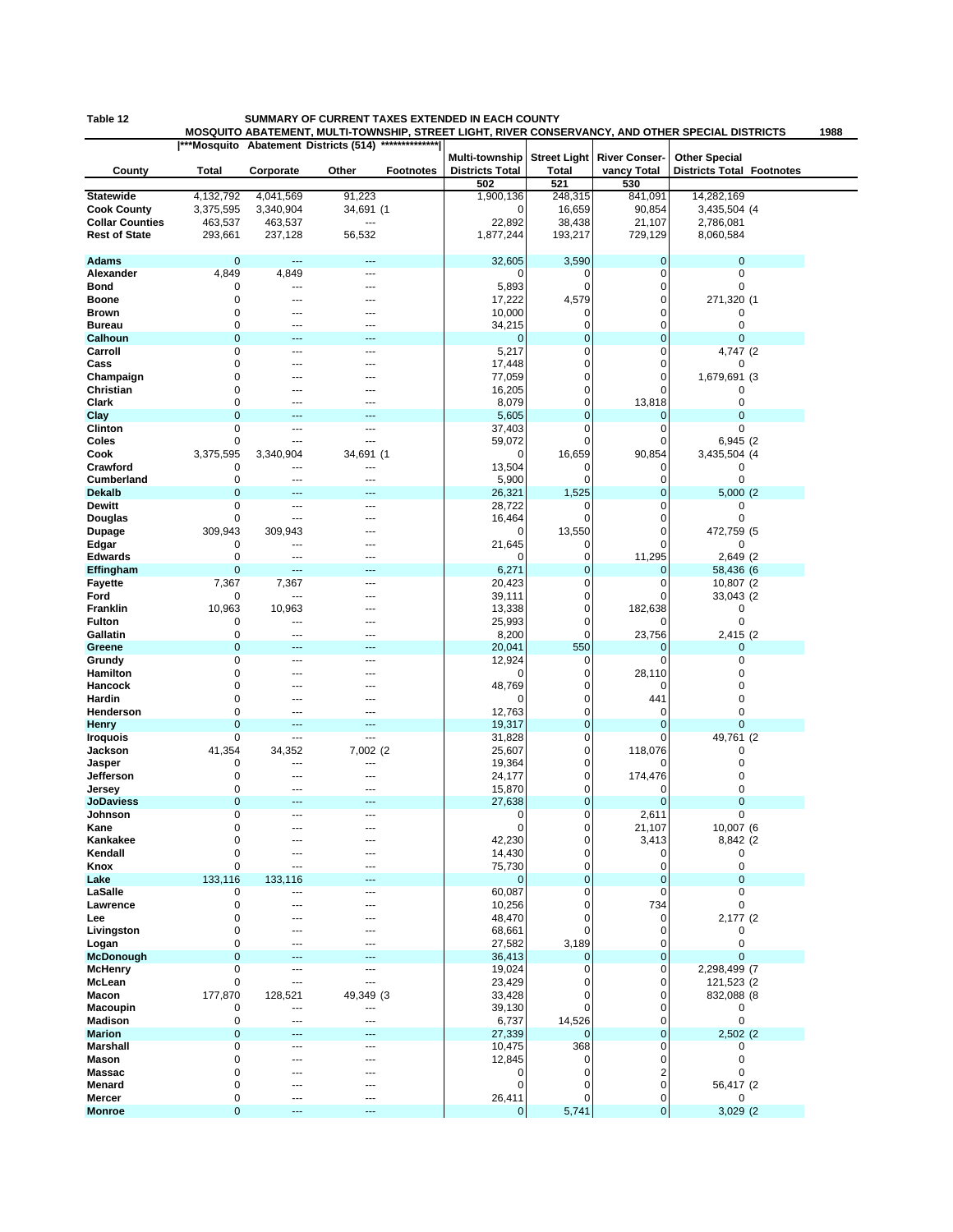## **Table 12 SUMMARY OF CURRENT TAXES EXTENDED IN EACH COUNTY**

**MOSQUITO ABATEMENT, MULTI-TOWNSHIP, STREET LIGHT, RIVER CONSERVANCY, AND OTHER SPECIAL DISTRICTS 1988**

|                           |                  |                | ***Mosquito Abatement Districts (514) | **************   |                                          |              |                                           |                                                          |  |
|---------------------------|------------------|----------------|---------------------------------------|------------------|------------------------------------------|--------------|-------------------------------------------|----------------------------------------------------------|--|
| County                    | Total            | Corporate      | Other                                 | <b>Footnotes</b> | Multi-township<br><b>Districts Total</b> | <b>Total</b> | Street Light River Conser-<br>vancy Total | <b>Other Special</b><br><b>Districts Total Footnotes</b> |  |
|                           |                  |                |                                       |                  | 502                                      | 521          | 530                                       |                                                          |  |
| <b>Statewide</b>          | 4,132,792        | 4,041,569      | 91,223                                |                  | 1,900,136                                | 248,315      | 841,091                                   | 14,282,169                                               |  |
| <b>Cook County</b>        | 3,375,595        | 3,340,904      | 34,691 (1                             |                  | 0                                        | 16,659       | 90,854                                    | 3,435,504 (4)                                            |  |
| <b>Collar Counties</b>    | 463,537          | 463,537        | ---                                   |                  | 22,892                                   | 38,438       | 21,107                                    | 2,786,081                                                |  |
| <b>Rest of State</b>      | 293,661          | 237,128        | 56,532                                |                  | 1,877,244                                | 193,217      | 729,129                                   | 8,060,584                                                |  |
|                           |                  |                |                                       |                  |                                          |              |                                           |                                                          |  |
| <b>Adams</b>              | $\mathbf 0$      | ---            | ---                                   |                  | 32,605                                   | 3,590        | 0                                         | $\mathbf 0$                                              |  |
| Alexander                 | 4,849            | 4,849          | $---$                                 |                  | 0                                        | 0            | 0                                         | 0                                                        |  |
| Bond                      | 0                | $\overline{a}$ | $\sim$                                |                  | 5,893                                    | 0            | 0                                         | 0                                                        |  |
| Boone                     | 0                | ---            | ---                                   |                  | 17,222                                   | 4,579        | 0                                         | 271,320 (1                                               |  |
| <b>Brown</b>              | $\mathbf 0$      |                | ---                                   |                  | 10,000                                   | 0            | 0                                         | 0                                                        |  |
| <b>Bureau</b>             | 0                |                |                                       |                  | 34,215                                   | 0            | 0                                         | 0                                                        |  |
| Calhoun                   | $\mathbf 0$      |                |                                       |                  | $\mathbf 0$                              | 0            | 0                                         | $\mathbf 0$                                              |  |
| Carroll                   | 0                | ---            | $---$                                 |                  | 5,217                                    | 0            | 0                                         | 4,747 (2)                                                |  |
| Cass                      | 0                |                | ---                                   |                  | 17,448                                   | 0            | 0                                         | 0                                                        |  |
| Champaign                 | 0                |                |                                       |                  | 77,059                                   | 0            | 0                                         | 1,679,691 (3                                             |  |
| Christian                 | 0                |                |                                       |                  | 16,205                                   | 0            | 0                                         | 0                                                        |  |
| Clark                     | 0                |                | ---                                   |                  | 8,079                                    | 0            | 13,818                                    | 0                                                        |  |
| Clay                      | $\mathbf 0$      |                | 44                                    |                  | 5,605                                    | $\mathbf 0$  | 0                                         | $\mathbf{0}$                                             |  |
| Clinton                   | 0                | ---            | $---$                                 |                  | 37,403                                   | 0            | 0                                         | 0                                                        |  |
| Coles                     | 0                | ---            | ---                                   |                  | 59,072                                   | 0            | 0                                         | 6,945 (2                                                 |  |
| Cook                      | 3,375,595        | 3,340,904      | 34,691 (1                             |                  | 0                                        | 16,659       | 90,854                                    | 3,435,504 (4                                             |  |
| Crawford                  | 0                | ---            | ---                                   |                  | 13,504                                   | 0            | 0                                         | 0                                                        |  |
| <b>Cumberland</b>         | 0                | ---            | ---                                   |                  | 5,900                                    | 0            | 0                                         | 0                                                        |  |
| <b>Dekalb</b>             | $\mathbf 0$      |                |                                       |                  | 26,321                                   | 1,525        | 0                                         | 5,000(2)                                                 |  |
| <b>Dewitt</b>             | 0                | $\overline{a}$ | $---$                                 |                  | 28,722                                   | 0            | 0                                         | 0                                                        |  |
| Douglas                   | 0                | ---            | ---                                   |                  | 16,464                                   | $\mathbf 0$  | 0                                         | 0                                                        |  |
| <b>Dupage</b>             | 309,943          | 309,943        | ---                                   |                  | 0                                        | 13,550       | 0                                         | 472,759 (5                                               |  |
| Edgar                     | 0                | ---            | ---                                   |                  | 21,645                                   | 0            | $\Omega$                                  | 0                                                        |  |
| <b>Edwards</b>            | 0                | ---            |                                       |                  | 0                                        | 0            | 11,295                                    | 2,649 (2)                                                |  |
| Effingham                 | $\mathbf 0$      | ---            | ---                                   |                  | 6,271                                    | 0            | 0                                         | 58,436 (6                                                |  |
| <b>Fayette</b>            | 7,367            | 7,367          | $\sim$                                |                  | 20,423                                   | 0            | 0                                         | 10,807 (2)                                               |  |
| Ford                      | 0                | ---            |                                       |                  | 39,111                                   | 0            | 0                                         | 33,043 (2)                                               |  |
| Franklin                  | 10,963           | 10,963         |                                       |                  | 13,338                                   | 0            | 182,638                                   | 0                                                        |  |
| <b>Fulton</b>             | 0                | ---            | ---                                   |                  | 25,993                                   | 0            | 0                                         | 0                                                        |  |
| Gallatin                  | 0                | ---            | ---                                   |                  | 8,200                                    | 0            | 23,756                                    | 2,415 (2)                                                |  |
| Greene                    | $\mathbf 0$      |                | ---                                   |                  | 20,041                                   | 550          | 0                                         | 0                                                        |  |
|                           | 0                | ---            | $\sim$                                |                  | 12,924                                   | 0            | 0                                         | 0                                                        |  |
| Grundy                    | 0                |                | ---                                   |                  | 0                                        | 0            | 28,110                                    | 0                                                        |  |
| Hamilton<br>Hancock       | $\mathbf 0$      |                |                                       |                  | 48,769                                   | 0            | 0                                         | 0                                                        |  |
| Hardin                    | 0                |                |                                       |                  | 0                                        | 0            |                                           | 0                                                        |  |
|                           | $\mathbf 0$      | --             |                                       |                  |                                          | 0            | 441<br>0                                  | $\mathbf 0$                                              |  |
| Henderson                 | $\mathbf 0$      | $---$          | ---                                   |                  | 12,763                                   | 0            | 0                                         | $\mathbf 0$                                              |  |
| Henry                     | 0                | ---            | ---                                   |                  | 19,317                                   | 0            | 0                                         | 49,761 (2                                                |  |
| <b>Iroquois</b>           |                  |                |                                       |                  | 31,828                                   |              |                                           |                                                          |  |
| Jackson                   | 41,354<br>0      | 34,352<br>---  | 7,002 (2<br>---                       |                  | 25,607                                   | 0<br>0       | 118,076                                   | 0<br>0                                                   |  |
| Jasper                    |                  |                |                                       |                  | 19,364                                   |              | 0                                         |                                                          |  |
| Jefferson                 | 0<br>$\mathbf 0$ | ---            | ---<br>---                            |                  | 24,177                                   | 0<br>0       | 174,476                                   | 0<br>0                                                   |  |
| Jersey                    | $\mathbf 0$      | ---<br>---     | ---                                   |                  | 15,870                                   |              | 0<br>$\mathbf{0}$                         | $\mathbf 0$                                              |  |
| <b>JoDaviess</b>          | 0                |                |                                       |                  | 27,638                                   | 0<br>0       |                                           | 0                                                        |  |
| Johnson                   | 0                | $\overline{a}$ | $\sim$                                |                  | 0<br>$\mathbf 0$                         | 0            | 2,611                                     |                                                          |  |
| Kane                      |                  |                |                                       |                  | 42,230                                   | 0            | 21,107                                    | 10,007 (6                                                |  |
| Kankakee<br>Kendall       | 0<br>0           | ---            | ---                                   |                  | 14,430                                   | 0            | 3,413<br>0                                | 8,842 (2                                                 |  |
| Knox                      | 0                | $\overline{a}$ |                                       |                  | 75,730                                   | 0            | 0                                         | 0                                                        |  |
| Lake                      | 133,116          | 133,116        | ---                                   |                  | 0                                        | $\mathbf 0$  | 0                                         | 0<br>$\mathbf 0$                                         |  |
| LaSalle                   | 0                | ---            | ---                                   |                  | 60,087                                   | 0            | 0                                         | 0                                                        |  |
| Lawrence                  | 0                |                | ---                                   |                  |                                          | 0            | 734                                       | 0                                                        |  |
| Lee                       | 0                |                |                                       |                  | 10,256                                   | 0            | 0                                         |                                                          |  |
|                           | 0                |                |                                       |                  | 48,470<br>68,661                         | 0            | 0                                         | 2,177 (2<br>0                                            |  |
| Livingston                | 0                | ---            |                                       |                  |                                          | 3,189        | 0                                         | 0                                                        |  |
| Logan<br><b>McDonough</b> | $\mathbf 0$      | ---            | ---<br>---                            |                  | 27,582<br>36,413                         | $\mathbf 0$  | 0                                         | 0                                                        |  |
| <b>McHenry</b>            | 0                | ---            | $---$                                 |                  | 19,024                                   | 0            | 0                                         |                                                          |  |
|                           |                  |                |                                       |                  |                                          |              |                                           | 2,298,499 (7                                             |  |
| McLean                    | $\mathbf 0$      | ---            | ---                                   |                  | 23,429                                   | 0            | 0<br>0                                    | 121,523 (2                                               |  |
| Macon                     | 177,870          | 128,521        | 49,349 (3                             |                  | 33,428                                   | 0            |                                           | 832,088 (8                                               |  |
| Macoupin                  | 0                | ---            | ---                                   |                  | 39,130                                   | 0            | 0                                         | 0                                                        |  |
| <b>Madison</b>            | $\mathbf 0$      | ---            | ---                                   |                  | 6,737                                    | 14,526       | 0                                         | $\pmb{0}$                                                |  |
| <b>Marion</b>             | $\mathbf 0$      |                |                                       |                  | 27,339                                   | $\mathbf 0$  | $\mathbf{0}$                              | $2,502$ (2)                                              |  |
| Marshall                  | 0                | ---            | $---$                                 |                  | 10,475                                   | 368          | 0                                         | 0                                                        |  |
| Mason                     | $\mathbf 0$      | ---            | ---                                   |                  | 12,845                                   | 0            | 0                                         | 0                                                        |  |
| Massac                    | 0                |                | ---                                   |                  | 0                                        | 0            | 2                                         | 0                                                        |  |
| Menard                    | 0                |                |                                       |                  | 0                                        | 0            | 0                                         | 56,417 (2                                                |  |
| Mercer                    | 0                | ---            | $---$                                 |                  | 26,411                                   | 0            | 0                                         | 0                                                        |  |
| <b>Monroe</b>             | $\mathbf 0$      | ---            | ---                                   |                  | 0                                        | 5,741        | 0                                         | 3,029(2)                                                 |  |